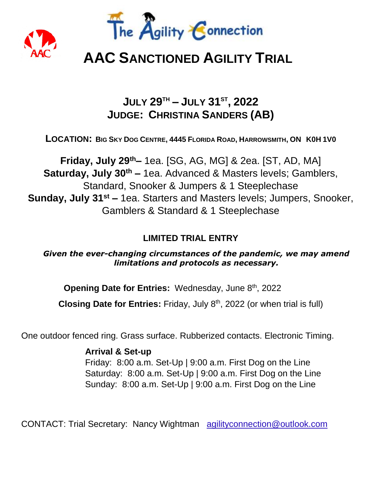



# **AAC SANCTIONED AGILITY TRIAL**

## **JULY 29TH – JULY 31ST , 2022 JUDGE: CHRISTINA SANDERS (AB)**

LOCATION: BIG SKY DOG CENTRE, 4445 FLORIDA ROAD, HARROWSMITH, ON KOH 1VO

**Friday, July 29th–** 1ea. [SG, AG, MG] & 2ea. [ST, AD, MA] **Saturday, July 30th –** 1ea. Advanced & Masters levels; Gamblers, Standard, Snooker & Jumpers & 1 Steeplechase **Sunday, July 31st –** 1ea. Starters and Masters levels; Jumpers, Snooker, Gamblers & Standard & 1 Steeplechase

## **LIMITED TRIAL ENTRY**

*Given the ever-changing circumstances of the pandemic, we may amend limitations and protocols as necessary.*

**Opening Date for Entries: Wednesday, June 8<sup>th</sup>, 2022** 

Closing Date for Entries: Friday, July 8<sup>th</sup>, 2022 (or when trial is full)

One outdoor fenced ring. Grass surface. Rubberized contacts. Electronic Timing.

**Arrival & Set-up** Friday: 8:00 a.m. Set-Up | 9:00 a.m. First Dog on the Line Saturday: 8:00 a.m. Set-Up | 9:00 a.m. First Dog on the Line Sunday: 8:00 a.m. Set-Up | 9:00 a.m. First Dog on the Line

CONTACT: Trial Secretary: Nancy Wightman agilityconnection@outlook.com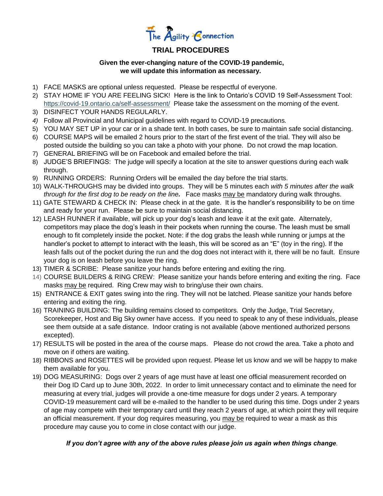

## **TRIAL PROCEDURES**

### **Given the ever-changing nature of the COVID-19 pandemic, we will update this information as necessary.**

- 1) FACE MASKS are optional unless requested. Please be respectful of everyone.
- 2) STAY HOME IF YOU ARE FEELING SICK! Here is the link to Ontario's COVID 19 Self-Assessment Tool: <https://covid-19.ontario.ca/self-assessment/>Please take the assessment on the morning of the event.
- 3) DISINFECT YOUR HANDS REGULARLY.
- *4)* Follow all Provincial and Municipal guidelines with regard to COVID-19 precautions*.*
- 5) YOU MAY SET UP in your car or in a shade tent. In both cases, be sure to maintain safe social distancing.
- 6) COURSE MAPS will be emailed 2 hours prior to the start of the first event of the trial. They will also be posted outside the building so you can take a photo with your phone. Do not crowd the map location.
- 7) GENERAL BRIEFING will be on Facebook and emailed before the trial.
- 8) JUDGE'S BRIEFINGS: The judge will specify a location at the site to answer questions during each walk through.
- 9) RUNNING ORDERS: Running Orders will be emailed the day before the trial starts.
- 10) WALK-THROUGHS may be divided into groups. They will be 5 minutes each *with 5 minutes after the walk through for the first dog to be ready on the line.* Face masks may be mandatory during walk throughs.
- 11) GATE STEWARD & CHECK IN: Please check in at the gate. It is the handler's responsibility to be on time and ready for your run. Please be sure to maintain social distancing.
- 12) LEASH RUNNER if available, will pick up your dog's leash and leave it at the exit gate. Alternately, competitors may place the dog's leash in their pockets when running the course. The leash must be small enough to fit completely inside the pocket. Note: if the dog grabs the leash while running or jumps at the handler's pocket to attempt to interact with the leash, this will be scored as an "E" (toy in the ring). If the leash falls out of the pocket during the run and the dog does not interact with it, there will be no fault. Ensure your dog is on leash before you leave the ring.
- 13) TIMER & SCRIBE: Please sanitize your hands before entering and exiting the ring.
- 14) COURSE BUILDERS & RING CREW: Please sanitize your hands before entering and exiting the ring. Face masks may be required. Ring Crew may wish to bring/use their own chairs.
- 15) ENTRANCE & EXIT gates swing into the ring. They will not be latched. Please sanitize your hands before entering and exiting the ring.
- 16) TRAINING BUILDING: The building remains closed to competitors. Only the Judge, Trial Secretary, Scorekeeper, Host and Big Sky owner have access. If you need to speak to any of these individuals, please see them outside at a safe distance. Indoor crating is not available (above mentioned authorized persons excepted).
- 17) RESULTS will be posted in the area of the course maps. Please do not crowd the area. Take a photo and move on if others are waiting.
- 18) RIBBONS and ROSETTES will be provided upon request. Please let us know and we will be happy to make them available for you.
- 19) DOG MEASURING: Dogs over 2 years of age must have at least one official measurement recorded on their Dog ID Card up to June 30th, 2022. In order to limit unnecessary contact and to eliminate the need for measuring at every trial, judges will provide a one-time measure for dogs under 2 years. A temporary COVID-19 measurement card will be e-mailed to the handler to be used during this time. Dogs under 2 years of age may compete with their temporary card until they reach 2 years of age, at which point they will require an official measurement. If your dog requires measuring, you may be required to wear a mask as this procedure may cause you to come in close contact with our judge.

### *If you don't agree with any of the above rules please join us again when things change.*